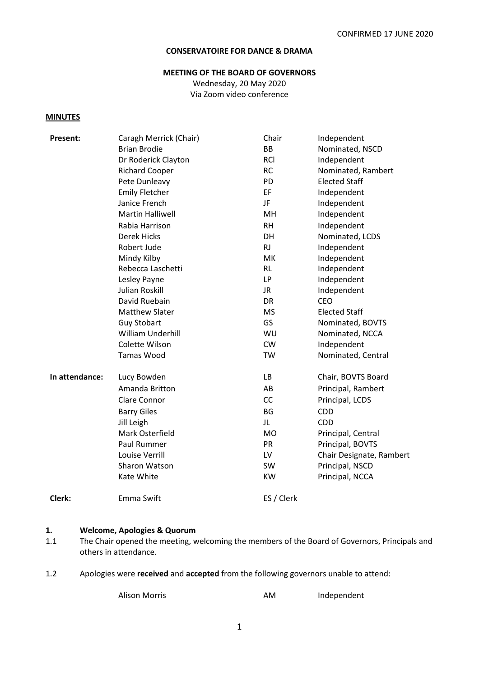#### **CONSERVATOIRE FOR DANCE & DRAMA**

#### **MEETING OF THE BOARD OF GOVERNORS**

Wednesday, 20 May 2020 Via Zoom video conference

#### **MINUTES**

| Present:       | Caragh Merrick (Chair)  | Chair      | Independent              |
|----------------|-------------------------|------------|--------------------------|
|                | <b>Brian Brodie</b>     | <b>BB</b>  | Nominated, NSCD          |
|                | Dr Roderick Clayton     | <b>RCI</b> | Independent              |
|                | <b>Richard Cooper</b>   | <b>RC</b>  | Nominated, Rambert       |
|                | Pete Dunleavy           | PD         | <b>Elected Staff</b>     |
|                | <b>Emily Fletcher</b>   | EF         | Independent              |
|                | Janice French           | JF         | Independent              |
|                | <b>Martin Halliwell</b> | MH         | Independent              |
|                | Rabia Harrison          | <b>RH</b>  | Independent              |
|                | <b>Derek Hicks</b>      | DH         | Nominated, LCDS          |
|                | Robert Jude             | <b>RJ</b>  | Independent              |
|                | Mindy Kilby             | <b>MK</b>  | Independent              |
|                | Rebecca Laschetti       | <b>RL</b>  | Independent              |
|                | Lesley Payne            | <b>LP</b>  | Independent              |
|                | Julian Roskill          | JR.        | Independent              |
|                | David Ruebain           | <b>DR</b>  | <b>CEO</b>               |
|                | <b>Matthew Slater</b>   | <b>MS</b>  | <b>Elected Staff</b>     |
|                | <b>Guy Stobart</b>      | <b>GS</b>  | Nominated, BOVTS         |
|                | William Underhill       | WU         | Nominated, NCCA          |
|                | Colette Wilson          | <b>CW</b>  | Independent              |
|                | <b>Tamas Wood</b>       | TW         | Nominated, Central       |
| In attendance: | Lucy Bowden             | LB         | Chair, BOVTS Board       |
|                | Amanda Britton          | AB         | Principal, Rambert       |
|                | <b>Clare Connor</b>     | CC         | Principal, LCDS          |
|                | <b>Barry Giles</b>      | <b>BG</b>  | CDD                      |
|                | Jill Leigh              | JL         | <b>CDD</b>               |
|                | Mark Osterfield         | <b>MO</b>  | Principal, Central       |
|                | Paul Rummer             | <b>PR</b>  | Principal, BOVTS         |
|                | Louise Verrill          | LV         | Chair Designate, Rambert |
|                | Sharon Watson           | <b>SW</b>  | Principal, NSCD          |
|                | Kate White              | <b>KW</b>  | Principal, NCCA          |
| Clerk:         | Emma Swift              | ES / Clerk |                          |

#### **1. Welcome, Apologies & Quorum**

- 1.1 The Chair opened the meeting, welcoming the members of the Board of Governors, Principals and others in attendance.
- 1.2 Apologies were **received** and **accepted** from the following governors unable to attend:

Alison Morris **AM** Independent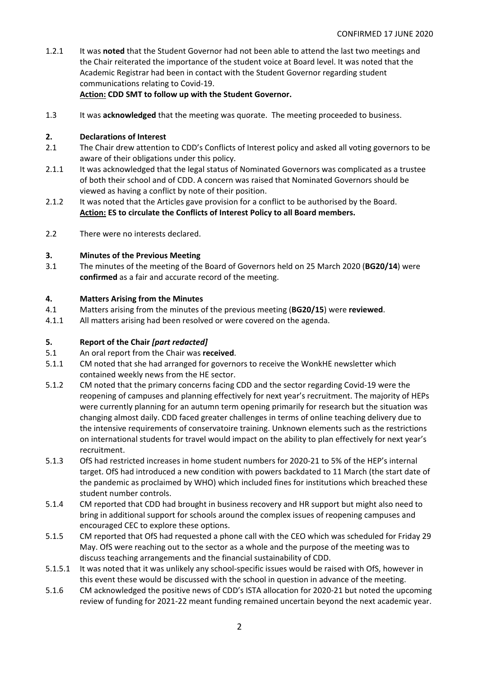1.2.1 It was **noted** that the Student Governor had not been able to attend the last two meetings and the Chair reiterated the importance of the student voice at Board level. It was noted that the Academic Registrar had been in contact with the Student Governor regarding student communications relating to Covid-19.

#### **Action: CDD SMT to follow up with the Student Governor.**

1.3 It was **acknowledged** that the meeting was quorate. The meeting proceeded to business.

#### **2. Declarations of Interest**

- 2.1 The Chair drew attention to CDD's Conflicts of Interest policy and asked all voting governors to be aware of their obligations under this policy.
- 2.1.1 It was acknowledged that the legal status of Nominated Governors was complicated as a trustee of both their school and of CDD. A concern was raised that Nominated Governors should be viewed as having a conflict by note of their position.
- 2.1.2 It was noted that the Articles gave provision for a conflict to be authorised by the Board. **Action: ES to circulate the Conflicts of Interest Policy to all Board members.**
- 2.2 There were no interests declared.

#### **3. Minutes of the Previous Meeting**

3.1 The minutes of the meeting of the Board of Governors held on 25 March 2020 (**BG20/14**) were **confirmed** as a fair and accurate record of the meeting.

#### **4. Matters Arising from the Minutes**

- 4.1 Matters arising from the minutes of the previous meeting (**BG20/15**) were **reviewed**.
- 4.1.1 All matters arising had been resolved or were covered on the agenda.

#### **5. Report of the Chair** *[part redacted]*

- 5.1 An oral report from the Chair was **received**.
- 5.1.1 CM noted that she had arranged for governors to receive the WonkHE newsletter which contained weekly news from the HE sector.
- 5.1.2 CM noted that the primary concerns facing CDD and the sector regarding Covid-19 were the reopening of campuses and planning effectively for next year's recruitment. The majority of HEPs were currently planning for an autumn term opening primarily for research but the situation was changing almost daily. CDD faced greater challenges in terms of online teaching delivery due to the intensive requirements of conservatoire training. Unknown elements such as the restrictions on international students for travel would impact on the ability to plan effectively for next year's recruitment.
- 5.1.3 OfS had restricted increases in home student numbers for 2020-21 to 5% of the HEP's internal target. OfS had introduced a new condition with powers backdated to 11 March (the start date of the pandemic as proclaimed by WHO) which included fines for institutions which breached these student number controls.
- 5.1.4 CM reported that CDD had brought in business recovery and HR support but might also need to bring in additional support for schools around the complex issues of reopening campuses and encouraged CEC to explore these options.
- 5.1.5 CM reported that OfS had requested a phone call with the CEO which was scheduled for Friday 29 May. OfS were reaching out to the sector as a whole and the purpose of the meeting was to discuss teaching arrangements and the financial sustainability of CDD.
- 5.1.5.1 It was noted that it was unlikely any school-specific issues would be raised with OfS, however in this event these would be discussed with the school in question in advance of the meeting.
- 5.1.6 CM acknowledged the positive news of CDD's ISTA allocation for 2020-21 but noted the upcoming review of funding for 2021-22 meant funding remained uncertain beyond the next academic year.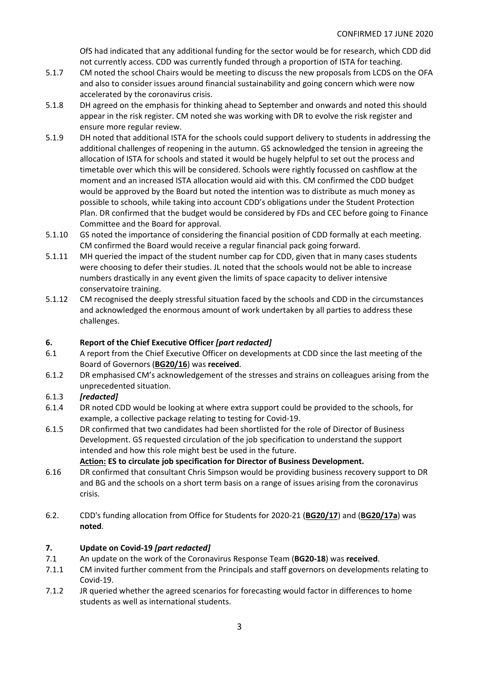OfS had indicated that any additional funding for the sector would be for research, which CDD did not currently access. CDD was currently funded through a proportion of ISTA for teaching.

- 5.1.7 CM noted the school Chairs would be meeting to discuss the new proposals from LCDS on the OFA and also to consider issues around financial sustainability and going concern which were now accelerated by the coronavirus crisis.
- 5.1.8 DH agreed on the emphasis for thinking ahead to September and onwards and noted this should appear in the risk register. CM noted she was working with DR to evolve the risk register and ensure more regular review.
- 5.1.9 DH noted that additional ISTA for the schools could support delivery to students in addressing the additional challenges of reopening in the autumn. GS acknowledged the tension in agreeing the allocation of ISTA for schools and stated it would be hugely helpful to set out the process and timetable over which this will be considered. Schools were rightly focussed on cashflow at the moment and an increased ISTA allocation would aid with this. CM confirmed the CDD budget would be approved by the Board but noted the intention was to distribute as much money as possible to schools, while taking into account CDD's obligations under the Student Protection Plan. DR confirmed that the budget would be considered by FDs and CEC before going to Finance Committee and the Board for approval.
- 5.1.10 GS noted the importance of considering the financial position of CDD formally at each meeting. CM confirmed the Board would receive a regular financial pack going forward.
- 5.1.11 MH queried the impact of the student number cap for CDD, given that in many cases students were choosing to defer their studies. JL noted that the schools would not be able to increase numbers drastically in any event given the limits of space capacity to deliver intensive conservatoire training.
- 5.1.12 CM recognised the deeply stressful situation faced by the schools and CDD in the circumstances and acknowledged the enormous amount of work undertaken by all parties to address these challenges.

## **6. Report of the Chief Executive Officer** *[part redacted]*

- 6.1 A report from the Chief Executive Officer on developments at CDD since the last meeting of the Board of Governors (**BG20/16**) was **received**.
- 6.1.2 DR emphasised CM's acknowledgement of the stresses and strains on colleagues arising from the unprecedented situation.

## 6.1.3 *[redacted]*

- 6.1.4 DR noted CDD would be looking at where extra support could be provided to the schools, for example, a collective package relating to testing for Covid-19.
- 6.1.5 DR confirmed that two candidates had been shortlisted for the role of Director of Business Development. GS requested circulation of the job specification to understand the support intended and how this role might best be used in the future.

## **Action: ES to circulate job specification for Director of Business Development.**

- 6.16 DR confirmed that consultant Chris Simpson would be providing business recovery support to DR and BG and the schools on a short term basis on a range of issues arising from the coronavirus crisis.
- 6.2. CDD's funding allocation from Office for Students for 2020-21 (**BG20/17**) and (**BG20/17a**) was **noted**.

## **7. Update on Covid-19** *[part redacted]*

- 7.1 An update on the work of the Coronavirus Response Team (**BG20-18**) was **received**.
- 7.1.1 CM invited further comment from the Principals and staff governors on developments relating to Covid-19.
- 7.1.2 JR queried whether the agreed scenarios for forecasting would factor in differences to home students as well as international students.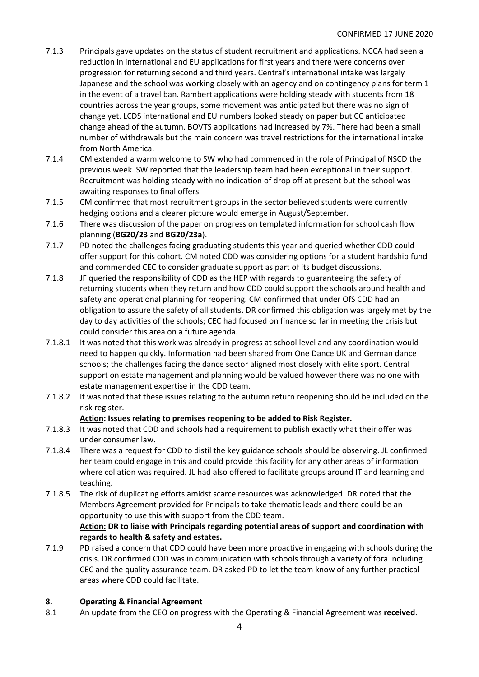- 7.1.3 Principals gave updates on the status of student recruitment and applications. NCCA had seen a reduction in international and EU applications for first years and there were concerns over progression for returning second and third years. Central's international intake was largely Japanese and the school was working closely with an agency and on contingency plans for term 1 in the event of a travel ban. Rambert applications were holding steady with students from 18 countries across the year groups, some movement was anticipated but there was no sign of change yet. LCDS international and EU numbers looked steady on paper but CC anticipated change ahead of the autumn. BOVTS applications had increased by 7%. There had been a small number of withdrawals but the main concern was travel restrictions for the international intake from North America.
- 7.1.4 CM extended a warm welcome to SW who had commenced in the role of Principal of NSCD the previous week. SW reported that the leadership team had been exceptional in their support. Recruitment was holding steady with no indication of drop off at present but the school was awaiting responses to final offers.
- 7.1.5 CM confirmed that most recruitment groups in the sector believed students were currently hedging options and a clearer picture would emerge in August/September.
- 7.1.6 There was discussion of the paper on progress on templated information for school cash flow planning (**BG20/23** and **BG20/23a**).
- 7.1.7 PD noted the challenges facing graduating students this year and queried whether CDD could offer support for this cohort. CM noted CDD was considering options for a student hardship fund and commended CEC to consider graduate support as part of its budget discussions.
- 7.1.8 JF queried the responsibility of CDD as the HEP with regards to guaranteeing the safety of returning students when they return and how CDD could support the schools around health and safety and operational planning for reopening. CM confirmed that under OfS CDD had an obligation to assure the safety of all students. DR confirmed this obligation was largely met by the day to day activities of the schools; CEC had focused on finance so far in meeting the crisis but could consider this area on a future agenda.
- 7.1.8.1 It was noted that this work was already in progress at school level and any coordination would need to happen quickly. Information had been shared from One Dance UK and German dance schools; the challenges facing the dance sector aligned most closely with elite sport. Central support on estate management and planning would be valued however there was no one with estate management expertise in the CDD team.
- 7.1.8.2 It was noted that these issues relating to the autumn return reopening should be included on the risk register.

## **Action: Issues relating to premises reopening to be added to Risk Register.**

- 7.1.8.3 It was noted that CDD and schools had a requirement to publish exactly what their offer was under consumer law.
- 7.1.8.4 There was a request for CDD to distil the key guidance schools should be observing. JL confirmed her team could engage in this and could provide this facility for any other areas of information where collation was required. JL had also offered to facilitate groups around IT and learning and teaching.
- 7.1.8.5 The risk of duplicating efforts amidst scarce resources was acknowledged. DR noted that the Members Agreement provided for Principals to take thematic leads and there could be an opportunity to use this with support from the CDD team.

#### **Action: DR to liaise with Principals regarding potential areas of support and coordination with regards to health & safety and estates.**

7.1.9 PD raised a concern that CDD could have been more proactive in engaging with schools during the crisis. DR confirmed CDD was in communication with schools through a variety of fora including CEC and the quality assurance team. DR asked PD to let the team know of any further practical areas where CDD could facilitate.

## **8. Operating & Financial Agreement**

8.1 An update from the CEO on progress with the Operating & Financial Agreement was **received**.